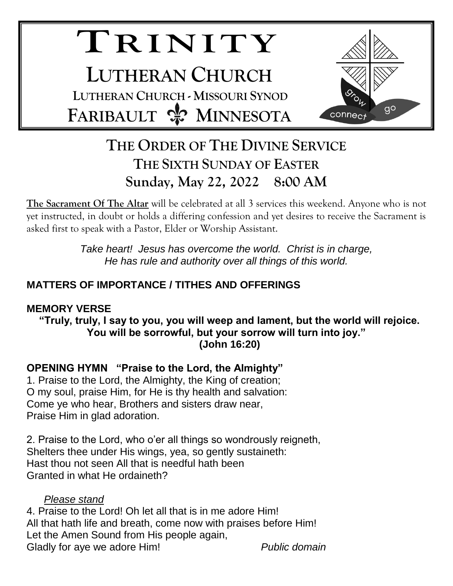# **TR I N I T Y LUTHERAN CHURCH LUTHERAN CHURCH - MISSOURI SYNOD FARIBAULT & MINNESOTA**



## **THE ORDER OF THE DIVINE SERVICE THE SIXTH SUNDAY OF EASTER Sunday, May 22, 2022 8:00 AM**

**The Sacrament Of The Altar** will be celebrated at all 3 services this weekend. Anyone who is not yet instructed, in doubt or holds a differing confession and yet desires to receive the Sacrament is asked first to speak with a Pastor, Elder or Worship Assistant.

> *Take heart! Jesus has overcome the world. Christ is in charge, He has rule and authority over all things of this world.*

### **MATTERS OF IMPORTANCE / TITHES AND OFFERINGS**

#### **MEMORY VERSE**

**"Truly, truly, I say to you, you will weep and lament, but the world will rejoice. You will be sorrowful, but your sorrow will turn into joy." (John 16:20)**

**OPENING HYMN "Praise to the Lord, the Almighty"**

1. Praise to the Lord, the Almighty, the King of creation; O my soul, praise Him, for He is thy health and salvation: Come ye who hear, Brothers and sisters draw near, Praise Him in glad adoration.

2. Praise to the Lord, who o'er all things so wondrously reigneth, Shelters thee under His wings, yea, so gently sustaineth: Hast thou not seen All that is needful hath been Granted in what He ordaineth?

#### *Please stand*

4. Praise to the Lord! Oh let all that is in me adore Him! All that hath life and breath, come now with praises before Him! Let the Amen Sound from His people again, Gladly for aye we adore Him! *Public domain*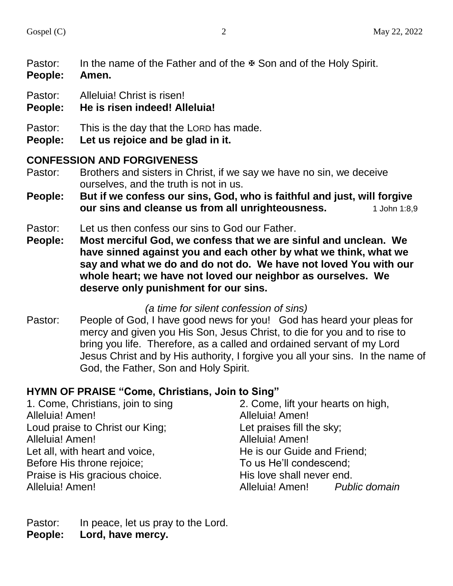Pastor: In the name of the Father and of the  $\Phi$  Son and of the Holy Spirit.

- **People: Amen.**
- Pastor: Alleluia! Christ is risen!
- **People: He is risen indeed! Alleluia!**
- Pastor: This is the day that the LORD has made.
- **People: Let us rejoice and be glad in it.**

#### **CONFESSION AND FORGIVENESS**

- Pastor: Brothers and sisters in Christ, if we say we have no sin, we deceive ourselves, and the truth is not in us.
- **People: But if we confess our sins, God, who is faithful and just, will forgive our sins and cleanse us from all unrighteousness.** 1 John 1:8,9
- Pastor: Let us then confess our sins to God our Father.
- **People: Most merciful God, we confess that we are sinful and unclean. We have sinned against you and each other by what we think, what we say and what we do and do not do. We have not loved You with our whole heart; we have not loved our neighbor as ourselves. We deserve only punishment for our sins.**

#### *(a time for silent confession of sins)*

Pastor: People of God, I have good news for you! God has heard your pleas for mercy and given you His Son, Jesus Christ, to die for you and to rise to bring you life. Therefore, as a called and ordained servant of my Lord Jesus Christ and by His authority, I forgive you all your sins. In the name of God, the Father, Son and Holy Spirit.

#### **HYMN OF PRAISE "Come, Christians, Join to Sing"**

1. Come, Christians, join to sing Alleluia! Amen! Loud praise to Christ our King; Alleluia! Amen! Let all, with heart and voice, Before His throne rejoice; Praise is His gracious choice. Alleluia! Amen! 2. Come, lift your hearts on high, Alleluia! Amen! Let praises fill the sky; Alleluia! Amen! He is our Guide and Friend; To us He'll condescend; His love shall never end. Alleluia! Amen! *Public domain*

Pastor: In peace, let us pray to the Lord. **People: Lord, have mercy.**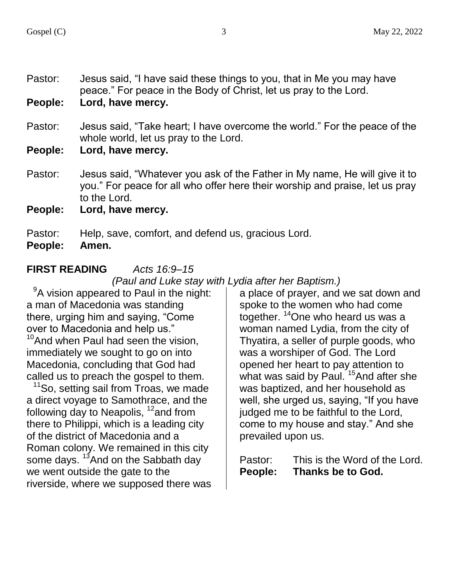Pastor: Jesus said, "I have said these things to you, that in Me you may have peace." For peace in the Body of Christ, let us pray to the Lord.

**People: Lord, have mercy.**

- Pastor: Jesus said, "Take heart; I have overcome the world." For the peace of the whole world, let us pray to the Lord.
- **People: Lord, have mercy.**
- Pastor: Jesus said, "Whatever you ask of the Father in My name, He will give it to you." For peace for all who offer here their worship and praise, let us pray to the Lord.
- **People: Lord, have mercy.**

Pastor: Help, save, comfort, and defend us, gracious Lord.

**People: Amen.**

**FIRST READING** *Acts 16:9–15*

*(Paul and Luke stay with Lydia after her Baptism.)*

 $9A$  vision appeared to Paul in the night: a man of Macedonia was standing there, urging him and saying, "Come over to Macedonia and help us."  $10$ And when Paul had seen the vision, immediately we sought to go on into Macedonia, concluding that God had called us to preach the gospel to them.

<sup>11</sup>So, setting sail from Troas, we made a direct voyage to Samothrace, and the following day to Neapolis,  $12$  and from there to Philippi, which is a leading city of the district of Macedonia and a Roman colony. We remained in this city some days. <sup>13</sup>And on the Sabbath day we went outside the gate to the riverside, where we supposed there was

a place of prayer, and we sat down and spoke to the women who had come together. <sup>14</sup>One who heard us was a woman named Lydia, from the city of Thyatira, a seller of purple goods, who was a worshiper of God. The Lord opened her heart to pay attention to what was said by Paul.<sup>15</sup>And after she was baptized, and her household as well, she urged us, saying, "If you have judged me to be faithful to the Lord, come to my house and stay." And she prevailed upon us.

| Pastor: | This is the Word of the Lord. |
|---------|-------------------------------|
| People: | Thanks be to God.             |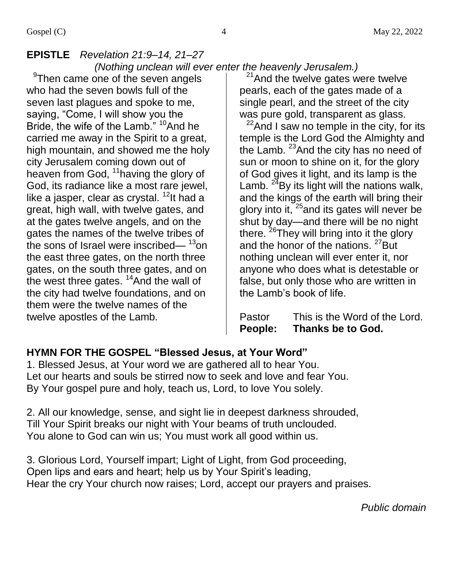#### **EPISTLE** *Revelation 21:9–14, 21–27 (Nothing unclean will ever enter the heavenly Jerusalem.)*

<sup>9</sup>Then came one of the seven angels who had the seven bowls full of the seven last plagues and spoke to me, saying, "Come, I will show you the Bride, the wife of the Lamb." <sup>10</sup>And he carried me away in the Spirit to a great, high mountain, and showed me the holy city Jerusalem coming down out of heaven from God, <sup>11</sup> having the glory of God, its radiance like a most rare jewel, like a jasper, clear as crystal.<sup>12</sup>It had a great, high wall, with twelve gates, and at the gates twelve angels, and on the gates the names of the twelve tribes of the sons of Israel were inscribed— $13$ on the east three gates, on the north three gates, on the south three gates, and on the west three gates. <sup>14</sup>And the wall of the city had twelve foundations, and on them were the twelve names of the twelve apostles of the Lamb.

 $21$ And the twelve gates were twelve pearls, each of the gates made of a single pearl, and the street of the city was pure gold, transparent as glass.

 $^{22}$ And I saw no temple in the city, for its temple is the Lord God the Almighty and the Lamb.  $23$  And the city has no need of sun or moon to shine on it, for the glory of God gives it light, and its lamp is the Lamb.  $^{24}$ By its light will the nations walk, and the kings of the earth will bring their glory into it, <sup>25</sup> and its gates will never be shut by day—and there will be no night there. <sup>26</sup>They will bring into it the glory and the honor of the nations. <sup>27</sup>But nothing unclean will ever enter it, nor anyone who does what is detestable or false, but only those who are written in the Lamb's book of life.

Pastor This is the Word of the Lord. **People: Thanks be to God.**

#### **HYMN FOR THE GOSPEL "Blessed Jesus, at Your Word"**

1. Blessed Jesus, at Your word we are gathered all to hear You. Let our hearts and souls be stirred now to seek and love and fear You. By Your gospel pure and holy, teach us, Lord, to love You solely.

2. All our knowledge, sense, and sight lie in deepest darkness shrouded, Till Your Spirit breaks our night with Your beams of truth unclouded. You alone to God can win us; You must work all good within us.

3. Glorious Lord, Yourself impart; Light of Light, from God proceeding, Open lips and ears and heart; help us by Your Spirit's leading, Hear the cry Your church now raises; Lord, accept our prayers and praises.

*Public domain*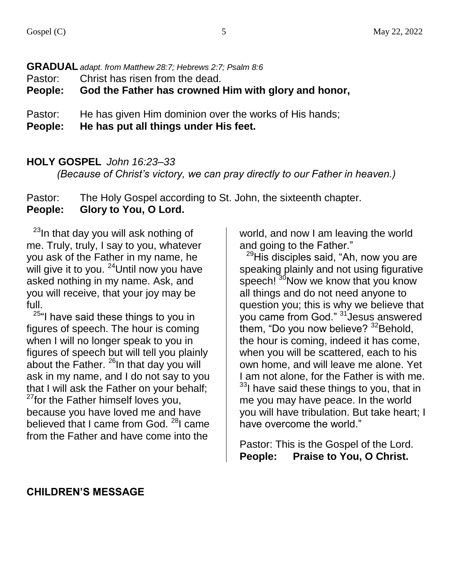#### **GRADUAL** *adapt. from Matthew 28:7; Hebrews 2:7; Psalm 8:6*

Pastor: Christ has risen from the dead.

**People: God the Father has crowned Him with glory and honor,**

Pastor: He has given Him dominion over the works of His hands;

**People: He has put all things under His feet.**

#### **HOLY GOSPEL** *John 16:23–33*

*(Because of Christ's victory, we can pray directly to our Father in heaven.)*

Pastor: The Holy Gospel according to St. John, the sixteenth chapter. **People: Glory to You, O Lord.**

 $^{23}$ In that day you will ask nothing of me. Truly, truly, I say to you, whatever you ask of the Father in my name, he will give it to you. <sup>24</sup>Until now you have asked nothing in my name. Ask, and you will receive, that your joy may be full.

<sup>25"</sup>I have said these things to you in figures of speech. The hour is coming when I will no longer speak to you in figures of speech but will tell you plainly about the Father.  $^{26}$ In that day you will ask in my name, and I do not say to you that I will ask the Father on your behalf;  $27$  for the Father himself loves you, because you have loved me and have believed that I came from God.  $^{28}$ I came from the Father and have come into the

world, and now I am leaving the world and going to the Father."

 $^{29}$ His disciples said, "Ah, now you are speaking plainly and not using figurative speech! <sup>30</sup>Now we know that you know all things and do not need anyone to question you; this is why we believe that you came from God." <sup>31</sup> Jesus answered them, "Do you now believe?  $32$ Behold, the hour is coming, indeed it has come, when you will be scattered, each to his own home, and will leave me alone. Yet I am not alone, for the Father is with me. <sup>33</sup>I have said these things to you, that in me you may have peace. In the world you will have tribulation. But take heart; I have overcome the world."

Pastor: This is the Gospel of the Lord. **People: Praise to You, O Christ.**

#### **CHILDREN'S MESSAGE**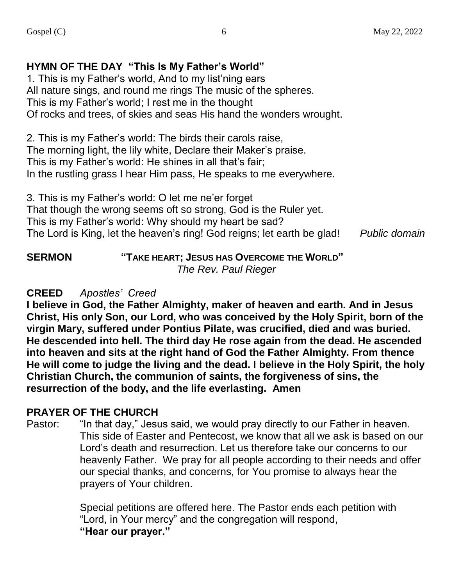#### **HYMN OF THE DAY "This Is My Father's World"**

1. This is my Father's world, And to my list'ning ears All nature sings, and round me rings The music of the spheres. This is my Father's world; I rest me in the thought Of rocks and trees, of skies and seas His hand the wonders wrought.

2. This is my Father's world: The birds their carols raise, The morning light, the lily white, Declare their Maker's praise. This is my Father's world: He shines in all that's fair; In the rustling grass I hear Him pass, He speaks to me everywhere.

3. This is my Father's world: O let me ne'er forget That though the wrong seems oft so strong, God is the Ruler yet. This is my Father's world: Why should my heart be sad? The Lord is King, let the heaven's ring! God reigns; let earth be glad! *Public domain*

**SERMON "TAKE HEART; JESUS HAS OVERCOME THE WORLD"**  *The Rev. Paul Rieger*

#### **CREED** *Apostles' Creed*

**I believe in God, the Father Almighty, maker of heaven and earth. And in Jesus Christ, His only Son, our Lord, who was conceived by the Holy Spirit, born of the virgin Mary, suffered under Pontius Pilate, was crucified, died and was buried. He descended into hell. The third day He rose again from the dead. He ascended into heaven and sits at the right hand of God the Father Almighty. From thence He will come to judge the living and the dead. I believe in the Holy Spirit, the holy Christian Church, the communion of saints, the forgiveness of sins, the resurrection of the body, and the life everlasting. Amen**

#### **PRAYER OF THE CHURCH**

Pastor: "In that day," Jesus said, we would pray directly to our Father in heaven. This side of Easter and Pentecost, we know that all we ask is based on our Lord's death and resurrection. Let us therefore take our concerns to our heavenly Father. We pray for all people according to their needs and offer our special thanks, and concerns, for You promise to always hear the prayers of Your children.

> Special petitions are offered here. The Pastor ends each petition with "Lord, in Your mercy" and the congregation will respond, **"Hear our prayer."**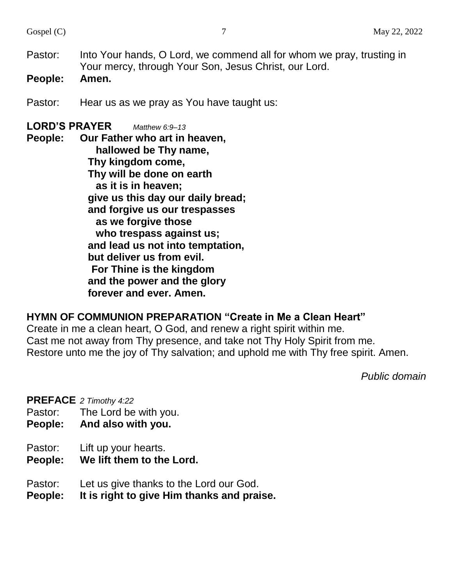- Pastor: Into Your hands, O Lord, we commend all for whom we pray, trusting in Your mercy, through Your Son, Jesus Christ, our Lord.
- **People: Amen.**
- Pastor: Hear us as we pray as You have taught us:

#### **LORD'S PRAYER** *Matthew 6:9–13*

**People: Our Father who art in heaven, hallowed be Thy name, Thy kingdom come, Thy will be done on earth as it is in heaven; give us this day our daily bread; and forgive us our trespasses as we forgive those who trespass against us; and lead us not into temptation, but deliver us from evil. For Thine is the kingdom and the power and the glory forever and ever. Amen.**

#### **HYMN OF COMMUNION PREPARATION "Create in Me a Clean Heart"**

Create in me a clean heart, O God, and renew a right spirit within me. Cast me not away from Thy presence, and take not Thy Holy Spirit from me. Restore unto me the joy of Thy salvation; and uphold me with Thy free spirit. Amen.

*Public domain*

**PREFACE** *2 Timothy 4:22*

- Pastor: The Lord be with you.
- **People: And also with you.**
- Pastor: Lift up your hearts.
- **People: We lift them to the Lord.**
- Pastor: Let us give thanks to the Lord our God.
- **People: It is right to give Him thanks and praise.**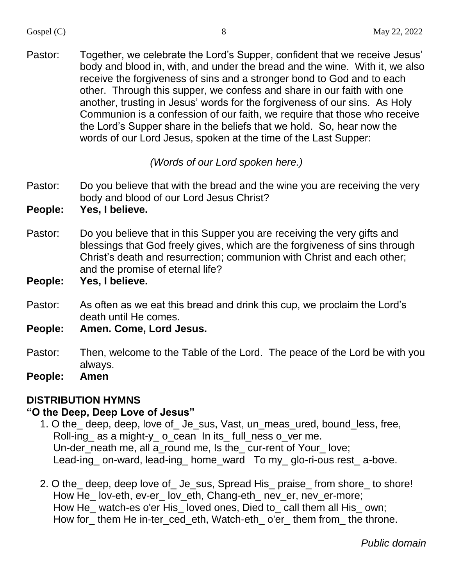Pastor: Together, we celebrate the Lord's Supper, confident that we receive Jesus' body and blood in, with, and under the bread and the wine. With it, we also receive the forgiveness of sins and a stronger bond to God and to each other. Through this supper, we confess and share in our faith with one another, trusting in Jesus' words for the forgiveness of our sins. As Holy Communion is a confession of our faith, we require that those who receive the Lord's Supper share in the beliefs that we hold. So, hear now the words of our Lord Jesus, spoken at the time of the Last Supper:

*(Words of our Lord spoken here.)*

- Pastor: Do you believe that with the bread and the wine you are receiving the very body and blood of our Lord Jesus Christ?
- **People: Yes, I believe.**
- Pastor: Do you believe that in this Supper you are receiving the very gifts and blessings that God freely gives, which are the forgiveness of sins through Christ's death and resurrection; communion with Christ and each other; and the promise of eternal life?
- **People: Yes, I believe.**
- Pastor: As often as we eat this bread and drink this cup, we proclaim the Lord's death until He comes.
- **People: Amen. Come, Lord Jesus.**
- Pastor: Then, welcome to the Table of the Lord. The peace of the Lord be with you always.
- **People: Amen**

#### **DISTRIBUTION HYMNS**

#### **"O the Deep, Deep Love of Jesus"**

- 1. O the\_ deep, deep, love of\_ Je\_sus, Vast, un\_meas\_ured, bound\_less, free, Roll-ing\_ as a might-y\_ o\_cean In its\_ full\_ness o\_ver me. Un-der\_neath me, all a\_round me, Is the\_ cur-rent of Your\_ love; Lead-ing on-ward, lead-ing home ward To my glo-ri-ous rest a-bove.
- 2. O the\_ deep, deep love of\_ Je\_sus, Spread His\_ praise\_ from shore\_ to shore! How He\_lov-eth, ev-er\_lov\_eth, Chang-eth\_nev\_er, nev\_er-more; How He\_ watch-es o'er His\_ loved ones, Died to\_ call them all His\_ own; How for\_them He in-ter\_ced\_eth, Watch-eth\_o'er\_them from\_the throne.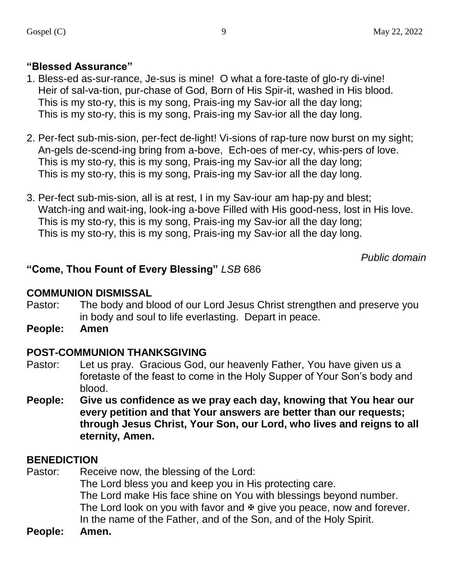#### **"Blessed Assurance"**

- 1. Bless-ed as-sur-rance, Je-sus is mine! O what a fore-taste of glo-ry di-vine! Heir of sal-va-tion, pur-chase of God, Born of His Spir-it, washed in His blood. This is my sto-ry, this is my song, Prais-ing my Sav-ior all the day long; This is my sto-ry, this is my song, Prais-ing my Sav-ior all the day long.
- 2. Per-fect sub-mis-sion, per-fect de-light! Vi-sions of rap-ture now burst on my sight; An-gels de-scend-ing bring from a-bove, Ech-oes of mer-cy, whis-pers of love. This is my sto-ry, this is my song, Prais-ing my Sav-ior all the day long; This is my sto-ry, this is my song, Prais-ing my Sav-ior all the day long.
- 3. Per-fect sub-mis-sion, all is at rest, I in my Sav-iour am hap-py and blest; Watch-ing and wait-ing, look-ing a-bove Filled with His good-ness, lost in His love. This is my sto-ry, this is my song, Prais-ing my Sav-ior all the day long; This is my sto-ry, this is my song, Prais-ing my Sav-ior all the day long.

*Public domain*

#### **"Come, Thou Fount of Every Blessing"** *LSB* 686

#### **COMMUNION DISMISSAL**

- Pastor: The body and blood of our Lord Jesus Christ strengthen and preserve you in body and soul to life everlasting. Depart in peace.
- **People: Amen**

#### **POST-COMMUNION THANKSGIVING**

- Pastor: Let us pray. Gracious God, our heavenly Father, You have given us a foretaste of the feast to come in the Holy Supper of Your Son's body and blood.
- **People: Give us confidence as we pray each day, knowing that You hear our every petition and that Your answers are better than our requests; through Jesus Christ, Your Son, our Lord, who lives and reigns to all eternity, Amen.**

#### **BENEDICTION**

Pastor: Receive now, the blessing of the Lord: The Lord bless you and keep you in His protecting care. The Lord make His face shine on You with blessings beyond number. The Lord look on you with favor and  $\Phi$  give you peace, now and forever. In the name of the Father, and of the Son, and of the Holy Spirit.

**People: Amen.**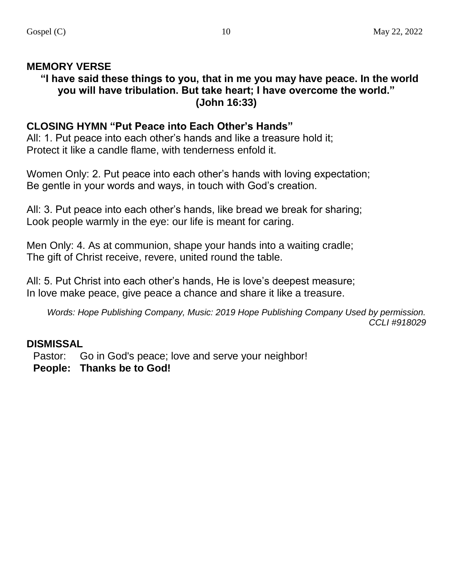#### **MEMORY VERSE**

#### **"I have said these things to you, that in me you may have peace. In the world you will have tribulation. But take heart; I have overcome the world." (John 16:33)**

#### **CLOSING HYMN "Put Peace into Each Other's Hands"**

All: 1. Put peace into each other's hands and like a treasure hold it: Protect it like a candle flame, with tenderness enfold it.

Women Only: 2. Put peace into each other's hands with loving expectation; Be gentle in your words and ways, in touch with God's creation.

All: 3. Put peace into each other's hands, like bread we break for sharing; Look people warmly in the eye: our life is meant for caring.

Men Only: 4. As at communion, shape your hands into a waiting cradle; The gift of Christ receive, revere, united round the table.

All: 5. Put Christ into each other's hands, He is love's deepest measure; In love make peace, give peace a chance and share it like a treasure.

*Words: Hope Publishing Company, Music: 2019 Hope Publishing Company Used by permission. CCLI #918029*

#### **DISMISSAL**

Pastor: Go in God's peace; love and serve your neighbor!

**People: Thanks be to God!**